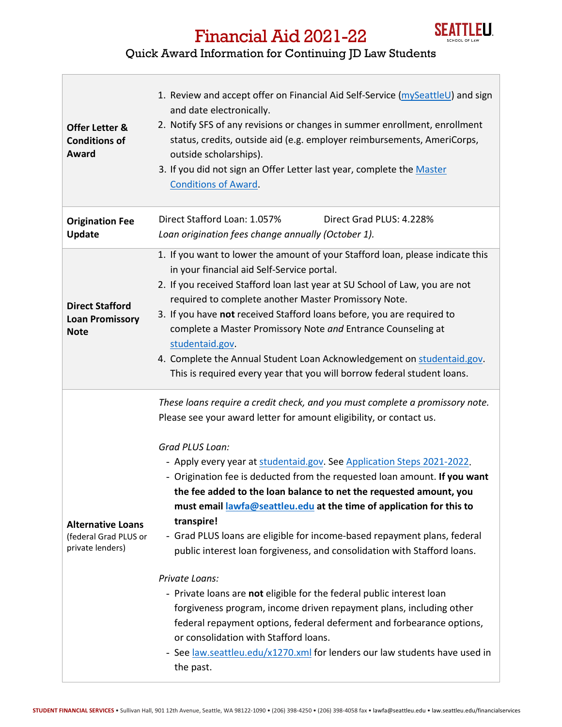

## Financial Aid 2021-22

## Quick Award Information for Continuing JD Law Students

| <b>Offer Letter &amp;</b><br><b>Conditions of</b><br>Award            | 1. Review and accept offer on Financial Aid Self-Service (mySeattleU) and sign<br>and date electronically.<br>2. Notify SFS of any revisions or changes in summer enrollment, enrollment<br>status, credits, outside aid (e.g. employer reimbursements, AmeriCorps,<br>outside scholarships).<br>3. If you did not sign an Offer Letter last year, complete the Master<br><b>Conditions of Award.</b>                                                                                                                                                                                                                                                                                                                                                                                                                                                                                                                                                                                                                                   |
|-----------------------------------------------------------------------|-----------------------------------------------------------------------------------------------------------------------------------------------------------------------------------------------------------------------------------------------------------------------------------------------------------------------------------------------------------------------------------------------------------------------------------------------------------------------------------------------------------------------------------------------------------------------------------------------------------------------------------------------------------------------------------------------------------------------------------------------------------------------------------------------------------------------------------------------------------------------------------------------------------------------------------------------------------------------------------------------------------------------------------------|
| <b>Origination Fee</b><br><b>Update</b>                               | Direct Stafford Loan: 1.057%<br>Direct Grad PLUS: 4.228%<br>Loan origination fees change annually (October 1).                                                                                                                                                                                                                                                                                                                                                                                                                                                                                                                                                                                                                                                                                                                                                                                                                                                                                                                          |
| <b>Direct Stafford</b><br><b>Loan Promissory</b><br><b>Note</b>       | 1. If you want to lower the amount of your Stafford loan, please indicate this<br>in your financial aid Self-Service portal.<br>2. If you received Stafford loan last year at SU School of Law, you are not<br>required to complete another Master Promissory Note.<br>3. If you have not received Stafford loans before, you are required to<br>complete a Master Promissory Note and Entrance Counseling at<br>studentaid.gov.<br>4. Complete the Annual Student Loan Acknowledgement on studentaid.gov.<br>This is required every year that you will borrow federal student loans.                                                                                                                                                                                                                                                                                                                                                                                                                                                   |
| <b>Alternative Loans</b><br>(federal Grad PLUS or<br>private lenders) | These loans require a credit check, and you must complete a promissory note.<br>Please see your award letter for amount eligibility, or contact us.<br>Grad PLUS Loan:<br>- Apply every year at studentaid.gov. See Application Steps 2021-2022.<br>- Origination fee is deducted from the requested loan amount. If you want<br>the fee added to the loan balance to net the requested amount, you<br>must email lawfa@seattleu.edu at the time of application for this to<br>transpire!<br>- Grad PLUS loans are eligible for income-based repayment plans, federal<br>public interest loan forgiveness, and consolidation with Stafford loans.<br>Private Loans:<br>- Private loans are not eligible for the federal public interest loan<br>forgiveness program, income driven repayment plans, including other<br>federal repayment options, federal deferment and forbearance options,<br>or consolidation with Stafford loans.<br>- See <u>law.seattleu.edu/x1270.xml</u> for lenders our law students have used in<br>the past. |